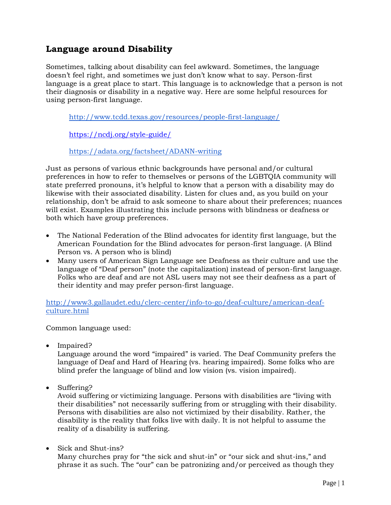## **Language around Disability**

Sometimes, talking about disability can feel awkward. Sometimes, the language doesn't feel right, and sometimes we just don't know what to say. Person-first language is a great place to start. This language is to acknowledge that a person is not their diagnosis or disability in a negative way. Here are some helpful resources for using person-first language.

<http://www.tcdd.texas.gov/resources/people-first-language/>

<https://ncdj.org/style-guide/>

<https://adata.org/factsheet/ADANN-writing>

Just as persons of various ethnic backgrounds have personal and/or cultural preferences in how to refer to themselves or persons of the LGBTQIA community will state preferred pronouns, it's helpful to know that a person with a disability may do likewise with their associated disability. Listen for clues and, as you build on your relationship, don't be afraid to ask someone to share about their preferences; nuances will exist. Examples illustrating this include persons with blindness or deafness or both which have group preferences.

- The National Federation of the Blind advocates for identity first language, but the American Foundation for the Blind advocates for person-first language. (A Blind Person vs. A person who is blind)
- Many users of American Sign Language see Deafness as their culture and use the language of "Deaf person" (note the capitalization) instead of person-first language. Folks who are deaf and are not ASL users may not see their deafness as a part of their identity and may prefer person-first language.

[http://www3.gallaudet.edu/clerc-center/info-to-go/deaf-culture/american-deaf](http://www3.gallaudet.edu/clerc-center/info-to-go/deaf-culture/american-deaf-culture.html)[culture.html](http://www3.gallaudet.edu/clerc-center/info-to-go/deaf-culture/american-deaf-culture.html)

Common language used:

• Impaired?

Language around the word "impaired" is varied. The Deaf Community prefers the language of Deaf and Hard of Hearing (vs. hearing impaired). Some folks who are blind prefer the language of blind and low vision (vs. vision impaired).

• Suffering?

Avoid suffering or victimizing language. Persons with disabilities are "living with their disabilities" not necessarily suffering from or struggling with their disability. Persons with disabilities are also not victimized by their disability. Rather, the disability is the reality that folks live with daily. It is not helpful to assume the reality of a disability is suffering.

• Sick and Shut-ins? Many churches pray for "the sick and shut-in" or "our sick and shut-ins," and phrase it as such. The "our" can be patronizing and/or perceived as though they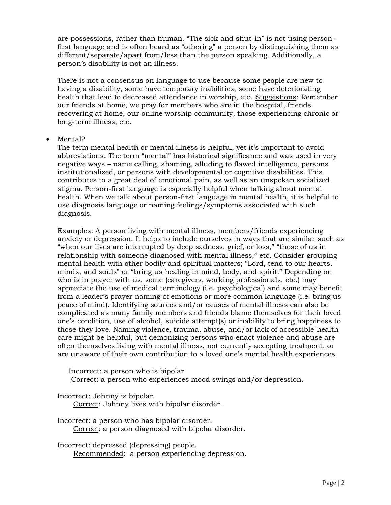are possessions, rather than human. "The sick and shut-in" is not using personfirst language and is often heard as "othering" a person by distinguishing them as different/separate/apart from/less than the person speaking. Additionally, a person's disability is not an illness.

There is not a consensus on language to use because some people are new to having a disability, some have temporary inabilities, some have deteriorating health that lead to decreased attendance in worship, etc. Suggestions: Remember our friends at home, we pray for members who are in the hospital, friends recovering at home, our online worship community, those experiencing chronic or long-term illness, etc.

## • Mental?

The term mental health or mental illness is helpful, yet it's important to avoid abbreviations. The term "mental" has historical significance and was used in very negative ways – name calling, shaming, alluding to flawed intelligence, persons institutionalized, or persons with developmental or cognitive disabilities. This contributes to a great deal of emotional pain, as well as an unspoken socialized stigma. Person-first language is especially helpful when talking about mental health. When we talk about person-first language in mental health, it is helpful to use diagnosis language or naming feelings/symptoms associated with such diagnosis.

Examples: A person living with mental illness, members/friends experiencing anxiety or depression. It helps to include ourselves in ways that are similar such as "when our lives are interrupted by deep sadness, grief, or loss," "those of us in relationship with someone diagnosed with mental illness," etc. Consider grouping mental health with other bodily and spiritual matters; "Lord, tend to our hearts, minds, and souls" or "bring us healing in mind, body, and spirit." Depending on who is in prayer with us, some (caregivers, working professionals, etc.) may appreciate the use of medical terminology (i.e. psychological) and some may benefit from a leader's prayer naming of emotions or more common language (i.e. bring us peace of mind). Identifying sources and/or causes of mental illness can also be complicated as many family members and friends blame themselves for their loved one's condition, use of alcohol, suicide attempt(s) or inability to bring happiness to those they love. Naming violence, trauma, abuse, and/or lack of accessible health care might be helpful, but demonizing persons who enact violence and abuse are often themselves living with mental illness, not currently accepting treatment, or are unaware of their own contribution to a loved one's mental health experiences.

 Incorrect: a person who is bipolar Correct: a person who experiences mood swings and/or depression.

Incorrect: Johnny is bipolar.

Correct: Johnny lives with bipolar disorder.

Incorrect: a person who has bipolar disorder. Correct: a person diagnosed with bipolar disorder.

Incorrect: depressed (depressing) people. Recommended: a person experiencing depression.